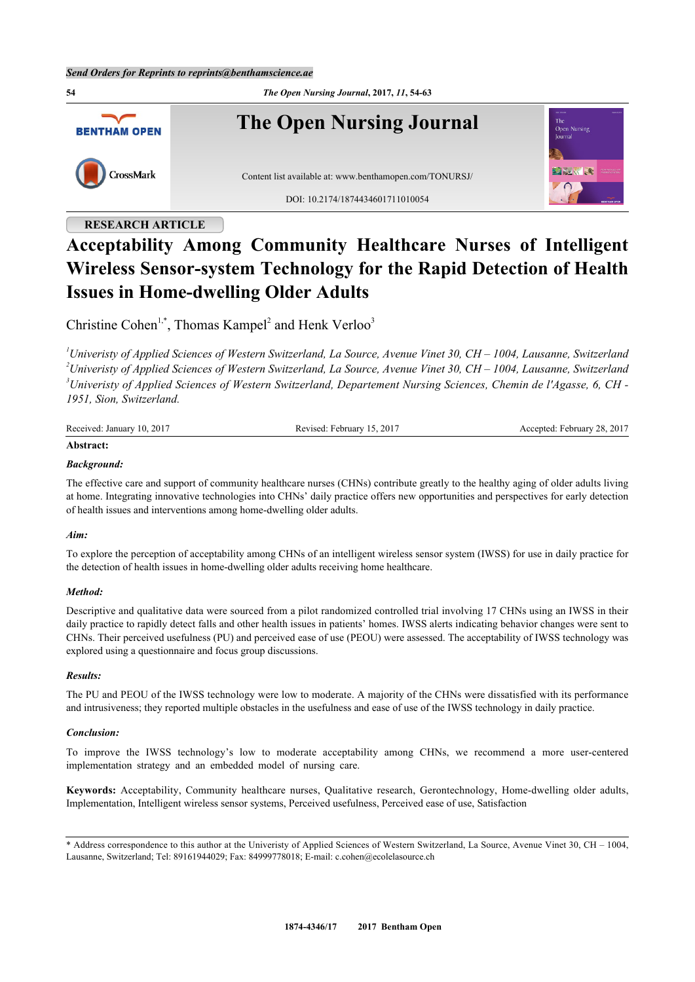**54** *The Open Nursing Journal***, 2017,** *11***, 54-63 The Open Nursing Journal BENTHAM OPEN** CrossMark Content list available at: [www.benthamopen.com/TONURSJ/](http://www.benthamopen.com/TONURSJ/) DOI: [10.2174/1874434601711010054](http://dx.doi.org/10.2174/1874434601711010054)

# **RESEARCH ARTICLE**

# **Acceptability Among Community Healthcare Nurses of Intelligent Wireless Sensor-system Technology for the Rapid Detection of Health Issues in Home-dwelling Older Adults**

Christine Cohen<sup>[1](#page-0-0),[\\*](#page-0-1)</sup>, Thomas Kampel<sup>[2](#page--1-0)</sup> and Henk Verloo<sup>[3](#page--1-0)</sup>

<span id="page-0-0"></span>*Univeristy of Applied Sciences of Western Switzerland, La Source, Avenue Vinet 30, CH – 1004, Lausanne, Switzerland Univeristy of Applied Sciences of Western Switzerland, La Source, Avenue Vinet 30, CH – 1004, Lausanne, Switzerland Univeristy of Applied Sciences of Western Switzerland, Departement Nursing Sciences, Chemin de l'Agasse, 6, CH - 1951, Sion, Switzerland.*

| Received: January 10,<br>.2017 | 201'<br>' February .<br>Revised: | : February 28, 2017<br>` eented: Fe. |
|--------------------------------|----------------------------------|--------------------------------------|
|                                |                                  |                                      |

# **Abstract:**

# *Background:*

The effective care and support of community healthcare nurses (CHNs) contribute greatly to the healthy aging of older adults living at home. Integrating innovative technologies into CHNs' daily practice offers new opportunities and perspectives for early detection of health issues and interventions among home-dwelling older adults.

## *Aim:*

To explore the perception of acceptability among CHNs of an intelligent wireless sensor system (IWSS) for use in daily practice for the detection of health issues in home-dwelling older adults receiving home healthcare.

#### *Method:*

Descriptive and qualitative data were sourced from a pilot randomized controlled trial involving 17 CHNs using an IWSS in their daily practice to rapidly detect falls and other health issues in patients' homes. IWSS alerts indicating behavior changes were sent to CHNs. Their perceived usefulness (PU) and perceived ease of use (PEOU) were assessed. The acceptability of IWSS technology was explored using a questionnaire and focus group discussions.

#### *Results:*

The PU and PEOU of the IWSS technology were low to moderate. A majority of the CHNs were dissatisfied with its performance and intrusiveness; they reported multiple obstacles in the usefulness and ease of use of the IWSS technology in daily practice.

## *Conclusion:*

To improve the IWSS technology's low to moderate acceptability among CHNs, we recommend a more user-centered implementation strategy and an embedded model of nursing care.

**Keywords:** Acceptability, Community healthcare nurses, Qualitative research, Gerontechnology, Home-dwelling older adults, Implementation, Intelligent wireless sensor systems, Perceived usefulness, Perceived ease of use, Satisfaction

<span id="page-0-1"></span><sup>\*</sup> Address correspondence to this author at the Univeristy of Applied Sciences of Western Switzerland, La Source, Avenue Vinet 30, CH – 1004, Lausanne, Switzerland; Tel: 89161944029; Fax: 84999778018; E-mail: [c.cohen@ecolelasource.ch](mailto:c.cohen@ecolelasource.ch)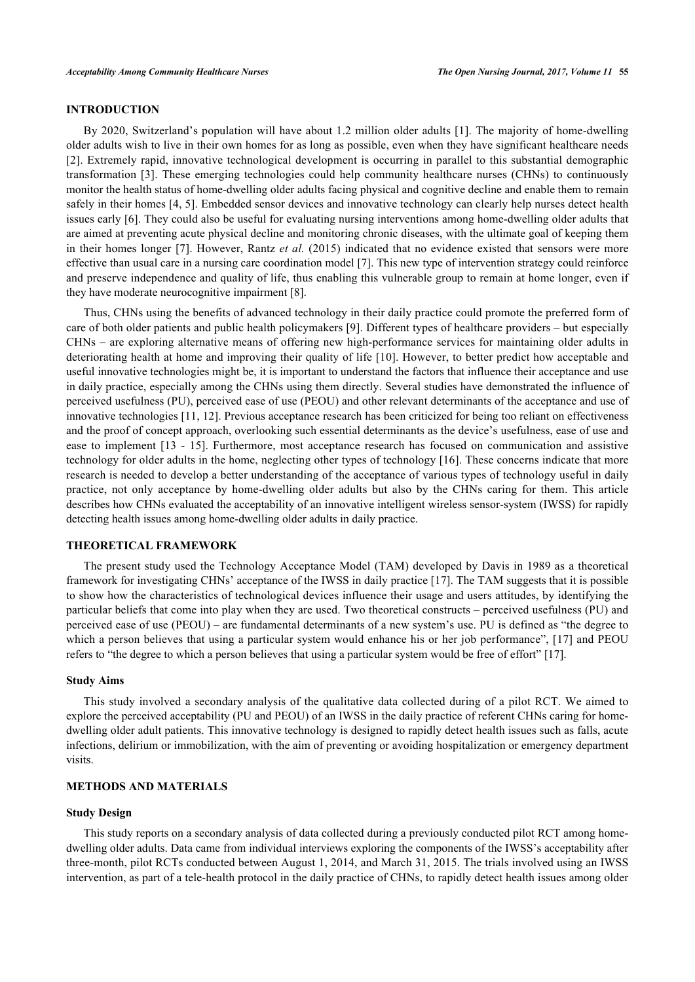# **INTRODUCTION**

By 2020, Switzerland's population will have about 1.2 million older adults [[1](#page-8-0)]. The majority of home-dwelling older adults wish to live in their own homes for as long as possible, even when they have significant healthcare needs [\[2](#page-8-1)]. Extremely rapid, innovative technological development is occurring in parallel to this substantial demographic transformation [[3](#page-8-2)]. These emerging technologies could help community healthcare nurses (CHNs) to continuously monitor the health status of home-dwelling older adults facing physical and cognitive decline and enable them to remain safely in their homes [\[4](#page-8-3), [5\]](#page-8-4). Embedded sensor devices and innovative technology can clearly help nurses detect health issues early [[6\]](#page-8-5). They could also be useful for evaluating nursing interventions among home-dwelling older adults that are aimed at preventing acute physical decline and monitoring chronic diseases, with the ultimate goal of keeping them in their homes longer [[7](#page-8-6)]. However, Rantz *et al.* (2015) indicated that no evidence existed that sensors were more effective than usual care in a nursing care coordination model [\[7](#page-8-6)]. This new type of intervention strategy could reinforce and preserve independence and quality of life, thus enabling this vulnerable group to remain at home longer, even if they have moderate neurocognitive impairment [[8\]](#page-8-7).

Thus, CHNs using the benefits of advanced technology in their daily practice could promote the preferred form of care of both older patients and public health policymakers [[9](#page-8-8)]. Different types of healthcare providers – but especially CHNs – are exploring alternative means of offering new high-performance services for maintaining older adults in deteriorating health at home and improving their quality of life [[10\]](#page-8-9). However, to better predict how acceptable and useful innovative technologies might be, it is important to understand the factors that influence their acceptance and use in daily practice, especially among the CHNs using them directly. Several studies have demonstrated the influence of perceived usefulness (PU), perceived ease of use (PEOU) and other relevant determinants of the acceptance and use of innovative technologies [[11,](#page-8-10) [12\]](#page-8-11). Previous acceptance research has been criticized for being too reliant on effectiveness and the proof of concept approach, overlooking such essential determinants as the device's usefulness, ease of use and ease to implement[[13](#page-8-12) - [15\]](#page-8-13). Furthermore, most acceptance research has focused on communication and assistive technology for older adults in the home, neglecting other types of technology [[16\]](#page-9-0). These concerns indicate that more research is needed to develop a better understanding of the acceptance of various types of technology useful in daily practice, not only acceptance by home-dwelling older adults but also by the CHNs caring for them. This article describes how CHNs evaluated the acceptability of an innovative intelligent wireless sensor-system (IWSS) for rapidly detecting health issues among home-dwelling older adults in daily practice.

# **THEORETICAL FRAMEWORK**

The present study used the Technology Acceptance Model (TAM) developed by Davis in 1989 as a theoretical framework for investigating CHNs' acceptance of the IWSS in daily practice [[17\]](#page-9-1). The TAM suggests that it is possible to show how the characteristics of technological devices influence their usage and users attitudes, by identifying the particular beliefs that come into play when they are used. Two theoretical constructs – perceived usefulness (PU) and perceived ease of use (PEOU) – are fundamental determinants of a new system's use. PU is defined as "the degree to which a person believes that using a particular system would enhance his or her job performance", [\[17](#page-9-1)] and PEOU refers to "the degree to which a person believes that using a particular system would be free of effort" [[17\]](#page-9-1).

#### **Study Aims**

This study involved a secondary analysis of the qualitative data collected during of a pilot RCT. We aimed to explore the perceived acceptability (PU and PEOU) of an IWSS in the daily practice of referent CHNs caring for homedwelling older adult patients. This innovative technology is designed to rapidly detect health issues such as falls, acute infections, delirium or immobilization, with the aim of preventing or avoiding hospitalization or emergency department visits.

# **METHODS AND MATERIALS**

# **Study Design**

This study reports on a secondary analysis of data collected during a previously conducted pilot RCT among homedwelling older adults. Data came from individual interviews exploring the components of the IWSS's acceptability after three-month, pilot RCTs conducted between August 1, 2014, and March 31, 2015. The trials involved using an IWSS intervention, as part of a tele-health protocol in the daily practice of CHNs, to rapidly detect health issues among older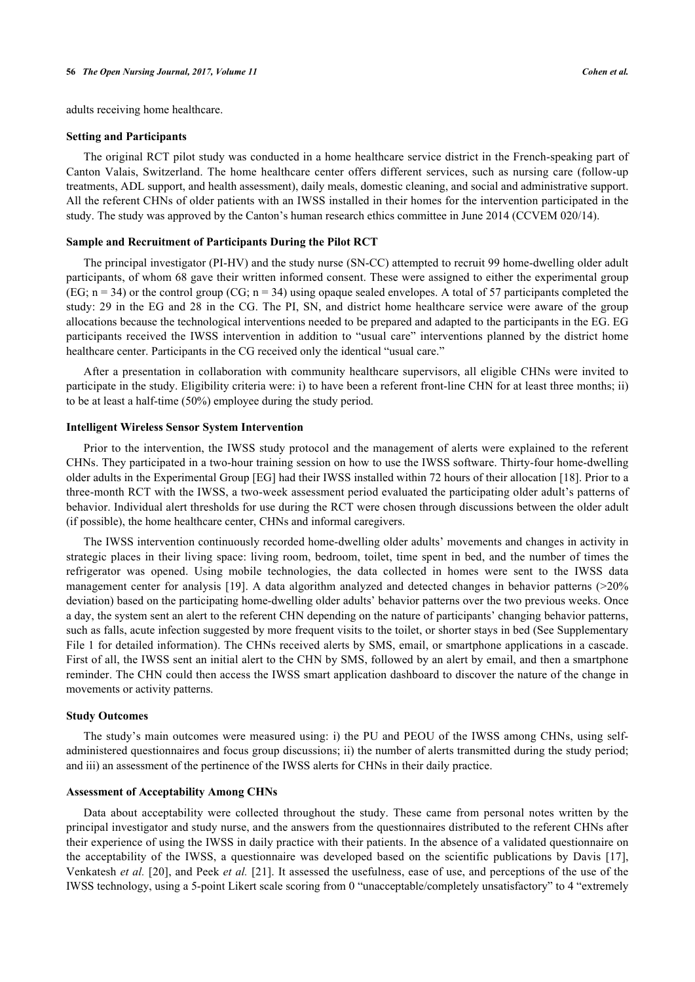adults receiving home healthcare.

#### **Setting and Participants**

The original RCT pilot study was conducted in a home healthcare service district in the French-speaking part of Canton Valais, Switzerland. The home healthcare center offers different services, such as nursing care (follow-up treatments, ADL support, and health assessment), daily meals, domestic cleaning, and social and administrative support. All the referent CHNs of older patients with an IWSS installed in their homes for the intervention participated in the study. The study was approved by the Canton's human research ethics committee in June 2014 (CCVEM 020/14).

#### **Sample and Recruitment of Participants During the Pilot RCT**

The principal investigator (PI-HV) and the study nurse (SN-CC) attempted to recruit 99 home-dwelling older adult participants, of whom 68 gave their written informed consent. These were assigned to either the experimental group (EG;  $n = 34$ ) or the control group (CG;  $n = 34$ ) using opaque sealed envelopes. A total of 57 participants completed the study: 29 in the EG and 28 in the CG. The PI, SN, and district home healthcare service were aware of the group allocations because the technological interventions needed to be prepared and adapted to the participants in the EG. EG participants received the IWSS intervention in addition to "usual care" interventions planned by the district home healthcare center. Participants in the CG received only the identical "usual care."

After a presentation in collaboration with community healthcare supervisors, all eligible CHNs were invited to participate in the study. Eligibility criteria were: i) to have been a referent front-line CHN for at least three months; ii) to be at least a half-time (50%) employee during the study period.

#### **Intelligent Wireless Sensor System Intervention**

Prior to the intervention, the IWSS study protocol and the management of alerts were explained to the referent CHNs. They participated in a two-hour training session on how to use the IWSS software. Thirty-four home-dwelling older adults in the Experimental Group [EG] had their IWSS installed within 72 hours of their allocation [[18\]](#page-9-2). Prior to a three-month RCT with the IWSS, a two-week assessment period evaluated the participating older adult's patterns of behavior. Individual alert thresholds for use during the RCT were chosen through discussions between the older adult (if possible), the home healthcare center, CHNs and informal caregivers.

The IWSS intervention continuously recorded home-dwelling older adults' movements and changes in activity in strategic places in their living space: living room, bedroom, toilet, time spent in bed, and the number of times the refrigerator was opened. Using mobile technologies, the data collected in homes were sent to the IWSS data management center for analysis [[19\]](#page-9-3). A data algorithm analyzed and detected changes in behavior patterns (>20% deviation) based on the participating home-dwelling older adults' behavior patterns over the two previous weeks. Once a day, the system sent an alert to the referent CHN depending on the nature of participants' changing behavior patterns, such as falls, acute infection suggested by more frequent visits to the toilet, or shorter stays in bed (See Supplementary File 1 for detailed information). The CHNs received alerts by SMS, email, or smartphone applications in a cascade. First of all, the IWSS sent an initial alert to the CHN by SMS, followed by an alert by email, and then a smartphone reminder. The CHN could then access the IWSS smart application dashboard to discover the nature of the change in movements or activity patterns.

#### **Study Outcomes**

The study's main outcomes were measured using: i) the PU and PEOU of the IWSS among CHNs, using selfadministered questionnaires and focus group discussions; ii) the number of alerts transmitted during the study period; and iii) an assessment of the pertinence of the IWSS alerts for CHNs in their daily practice.

#### **Assessment of Acceptability Among CHNs**

Data about acceptability were collected throughout the study. These came from personal notes written by the principal investigator and study nurse, and the answers from the questionnaires distributed to the referent CHNs after their experience of using the IWSS in daily practice with their patients. In the absence of a validated questionnaire on the acceptability of the IWSS, a questionnaire was developed based on the scientific publications by Davis [\[17\]](#page-9-1), Venkatesh *et al.* [[20](#page-9-4)], and Peek *et al.* [[21](#page-9-5)]. It assessed the usefulness, ease of use, and perceptions of the use of the IWSS technology, using a 5-point Likert scale scoring from 0 "unacceptable/completely unsatisfactory" to 4 "extremely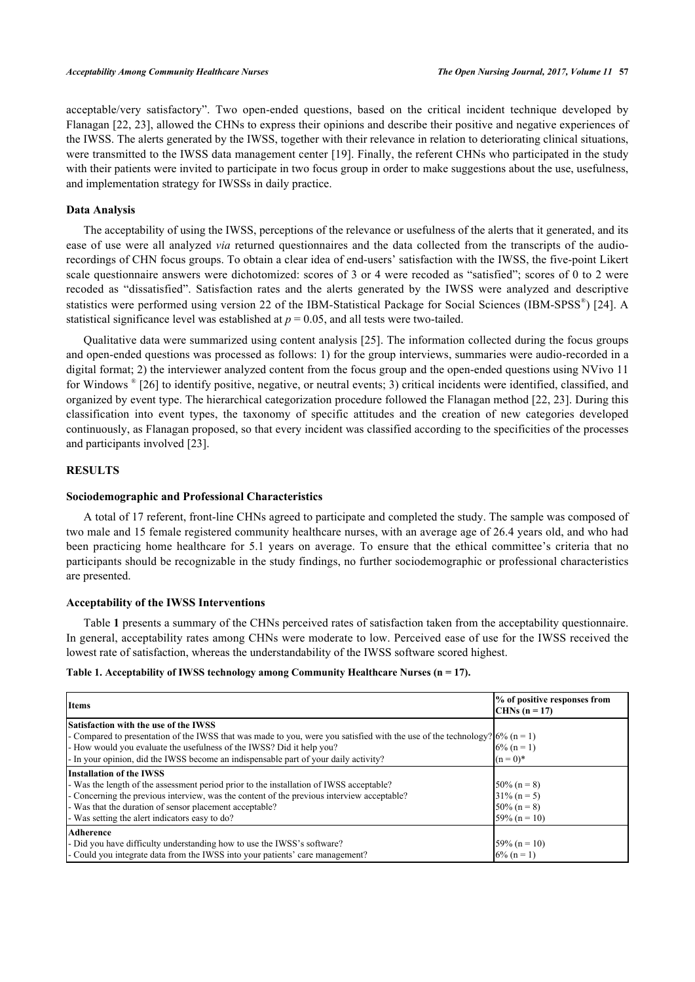acceptable/very satisfactory". Two open-ended questions, based on the critical incident technique developed by Flanagan [[22](#page-9-6), [23\]](#page-9-7), allowed the CHNs to express their opinions and describe their positive and negative experiences of the IWSS. The alerts generated by the IWSS, together with their relevance in relation to deteriorating clinical situations, were transmitted to the IWSS data management center [\[19\]](#page-9-3). Finally, the referent CHNs who participated in the study with their patients were invited to participate in two focus group in order to make suggestions about the use, usefulness, and implementation strategy for IWSSs in daily practice.

#### **Data Analysis**

The acceptability of using the IWSS, perceptions of the relevance or usefulness of the alerts that it generated, and its ease of use were all analyzed *via* returned questionnaires and the data collected from the transcripts of the audiorecordings of CHN focus groups. To obtain a clear idea of end-users' satisfaction with the IWSS, the five-point Likert scale questionnaire answers were dichotomized: scores of 3 or 4 were recoded as "satisfied"; scores of 0 to 2 were recoded as "dissatisfied". Satisfaction rates and the alerts generated by the IWSS were analyzed and descriptive statistics were performed using version 22 of the IBM-Statistical Package for Social Sciences (IBM-SPSS®) [[24](#page-9-8)]. A statistical significance level was established at  $p = 0.05$ , and all tests were two-tailed.

Qualitative data were summarized using content analysis [\[25\]](#page-9-9). The information collected during the focus groups and open-ended questions was processed as follows: 1) for the group interviews, summaries were audio-recorded in a digital format; 2) the interviewer analyzed content from the focus group and the open-ended questions using NVivo 11 for Windows ® [[26\]](#page-9-10) to identify positive, negative, or neutral events; 3) critical incidents were identified, classified, and organized by event type. The hierarchical categorization procedure followed the Flanagan method [\[22](#page-9-6), [23](#page-9-7)]. During this classification into event types, the taxonomy of specific attitudes and the creation of new categories developed continuously, as Flanagan proposed, so that every incident was classified according to the specificities of the processes and participants involved [[23\]](#page-9-7).

#### **RESULTS**

#### **Sociodemographic and Professional Characteristics**

A total of 17 referent, front-line CHNs agreed to participate and completed the study. The sample was composed of two male and 15 female registered community healthcare nurses, with an average age of 26.4 years old, and who had been practicing home healthcare for 5.1 years on average. To ensure that the ethical committee's criteria that no participants should be recognizable in the study findings, no further sociodemographic or professional characteristics are presented.

#### **Acceptability of the IWSS Interventions**

Table **[1](#page-3-0)** presents a summary of the CHNs perceived rates of satisfaction taken from the acceptability questionnaire. In general, acceptability rates among CHNs were moderate to low. Perceived ease of use for the IWSS received the lowest rate of satisfaction, whereas the understandability of the IWSS software scored highest.

#### <span id="page-3-0"></span>**Table 1. Acceptability of IWSS technology among Community Healthcare Nurses (n = 17).**

| <b>Items</b>                                                                                                                   | % of positive responses from<br>$CHNs (n = 17)$ |
|--------------------------------------------------------------------------------------------------------------------------------|-------------------------------------------------|
| <b>Satisfaction with the use of the IWSS</b>                                                                                   |                                                 |
| - Compared to presentation of the IWSS that was made to you, were you satisfied with the use of the technology? $(6\%$ (n = 1) |                                                 |
| - How would you evaluate the usefulness of the IWSS? Did it help you?                                                          | $6\%$ (n = 1)                                   |
| - In your opinion, did the IWSS become an indispensable part of your daily activity?                                           | $(n = 0)^*$                                     |
| <b>Installation of the IWSS</b>                                                                                                |                                                 |
| - Was the length of the assessment period prior to the installation of IWSS acceptable?                                        | $50\% (n = 8)$                                  |
| - Concerning the previous interview, was the content of the previous interview acceptable?                                     | $31\% (n = 5)$                                  |
| - Was that the duration of sensor placement acceptable?                                                                        | $50\% (n = 8)$                                  |
| - Was setting the alert indicators easy to do?                                                                                 | $59\% (n = 10)$                                 |
| Adherence                                                                                                                      |                                                 |
| - Did you have difficulty understanding how to use the IWSS's software?                                                        | $59\% (n = 10)$                                 |
| - Could you integrate data from the IWSS into your patients' care management?                                                  | $6\%$ (n = 1)                                   |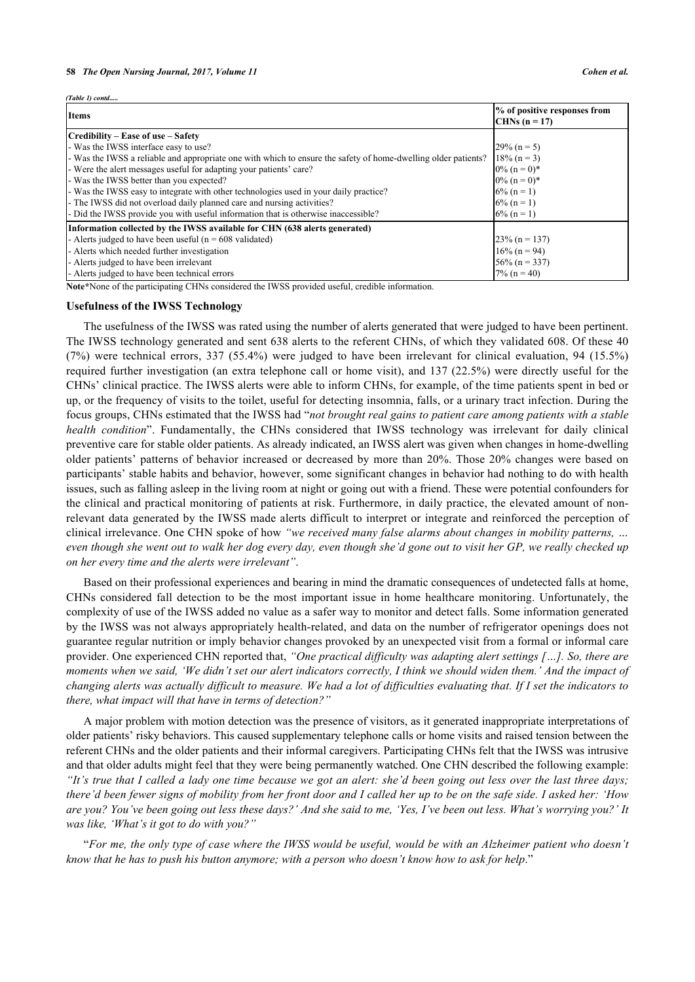*(Table 1) contd.* 

| <b>Items</b>                                                                                                   | % of positive responses from<br>CHNs $(n = 17)$ |
|----------------------------------------------------------------------------------------------------------------|-------------------------------------------------|
| Credibility – Ease of use – Safety                                                                             |                                                 |
| - Was the IWSS interface easy to use?                                                                          | $29\% (n = 5)$                                  |
| - Was the IWSS a reliable and appropriate one with which to ensure the safety of home-dwelling older patients? | $18\%$ (n = 3)                                  |
| - Were the alert messages useful for adapting your patients' care?                                             | $0\%$ (n = 0)*                                  |
| - Was the IWSS better than you expected?                                                                       | $0\%$ (n = 0)*                                  |
| - Was the IWSS easy to integrate with other technologies used in your daily practice?                          | $6\%$ (n = 1)                                   |
| - The IWSS did not overload daily planned care and nursing activities?                                         | $6\%$ (n = 1)                                   |
| - Did the IWSS provide you with useful information that is otherwise inaccessible?                             | $6\%$ (n = 1)                                   |
| [Information collected by the IWSS available for CHN (638 alerts generated)                                    |                                                 |
| - Alerts judged to have been useful ( $n = 608$ validated)                                                     | $23\%$ (n = 137)                                |
| - Alerts which needed further investigation                                                                    | $16\%$ (n = 94)                                 |
| - Alerts judged to have been irrelevant                                                                        | $56\%$ (n = 337)                                |
| - Alerts judged to have been technical errors                                                                  | $7\%$ (n = 40)                                  |

**Note\***None of the participating CHNs considered the IWSS provided useful, credible information.

#### **Usefulness of the IWSS Technology**

The usefulness of the IWSS was rated using the number of alerts generated that were judged to have been pertinent. The IWSS technology generated and sent 638 alerts to the referent CHNs, of which they validated 608. Of these 40 (7%) were technical errors, 337 (55.4%) were judged to have been irrelevant for clinical evaluation, 94 (15.5%) required further investigation (an extra telephone call or home visit), and 137 (22.5%) were directly useful for the CHNs' clinical practice. The IWSS alerts were able to inform CHNs, for example, of the time patients spent in bed or up, or the frequency of visits to the toilet, useful for detecting insomnia, falls, or a urinary tract infection. During the focus groups, CHNs estimated that the IWSS had "*not brought real gains to patient care among patients with a stable health condition*". Fundamentally, the CHNs considered that IWSS technology was irrelevant for daily clinical preventive care for stable older patients. As already indicated, an IWSS alert was given when changes in home-dwelling older patients' patterns of behavior increased or decreased by more than 20%. Those 20% changes were based on participants' stable habits and behavior, however, some significant changes in behavior had nothing to do with health issues, such as falling asleep in the living room at night or going out with a friend. These were potential confounders for the clinical and practical monitoring of patients at risk. Furthermore, in daily practice, the elevated amount of nonrelevant data generated by the IWSS made alerts difficult to interpret or integrate and reinforced the perception of clinical irrelevance. One CHN spoke of how *"we received many false alarms about changes in mobility patterns, … even though she went out to walk her dog every day, even though she'd gone out to visit her GP, we really checked up on her every time and the alerts were irrelevant"*.

Based on their professional experiences and bearing in mind the dramatic consequences of undetected falls at home, CHNs considered fall detection to be the most important issue in home healthcare monitoring. Unfortunately, the complexity of use of the IWSS added no value as a safer way to monitor and detect falls. Some information generated by the IWSS was not always appropriately health-related, and data on the number of refrigerator openings does not guarantee regular nutrition or imply behavior changes provoked by an unexpected visit from a formal or informal care provider. One experienced CHN reported that, *"One practical difficulty was adapting alert settings […]. So, there are moments when we said, 'We didn't set our alert indicators correctly, I think we should widen them.' And the impact of changing alerts was actually difficult to measure. We had a lot of difficulties evaluating that. If I set the indicators to there, what impact will that have in terms of detection?"*

A major problem with motion detection was the presence of visitors, as it generated inappropriate interpretations of older patients' risky behaviors. This caused supplementary telephone calls or home visits and raised tension between the referent CHNs and the older patients and their informal caregivers. Participating CHNs felt that the IWSS was intrusive and that older adults might feel that they were being permanently watched. One CHN described the following example: *"It's true that I called a lady one time because we got an alert: she'd been going out less over the last three days; there'd been fewer signs of mobility from her front door and I called her up to be on the safe side. I asked her: 'How are you? You've been going out less these days?' And she said to me, 'Yes, I've been out less. What's worrying you?' It was like, 'What's it got to do with you?"*

"*For me, the only type of case where the IWSS would be useful, would be with an Alzheimer patient who doesn't know that he has to push his button anymore; with a person who doesn't know how to ask for help*."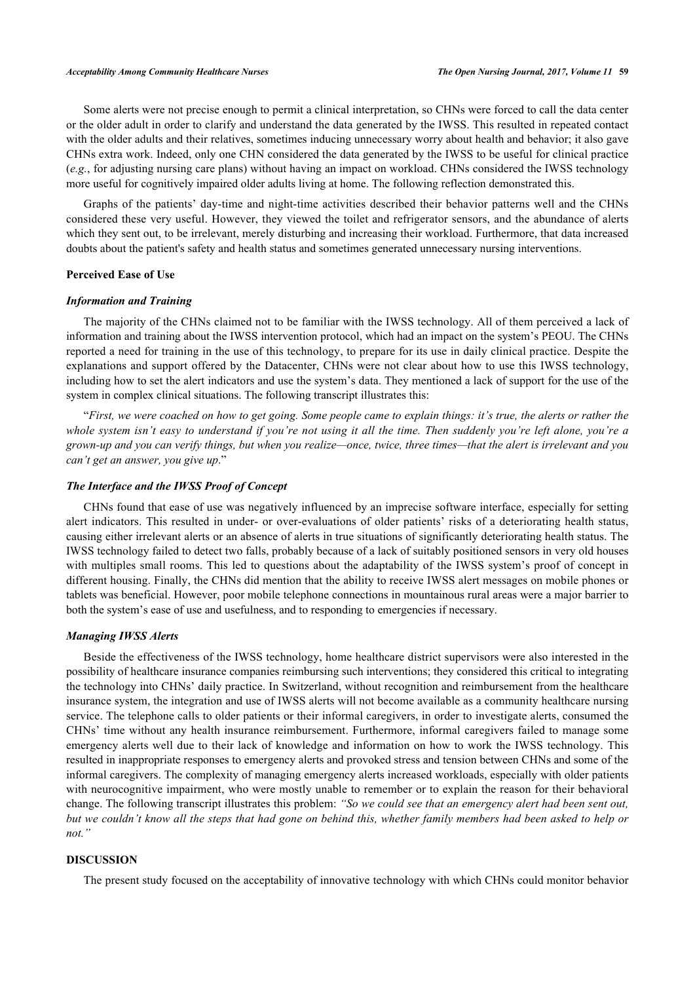Some alerts were not precise enough to permit a clinical interpretation, so CHNs were forced to call the data center or the older adult in order to clarify and understand the data generated by the IWSS. This resulted in repeated contact with the older adults and their relatives, sometimes inducing unnecessary worry about health and behavior; it also gave CHNs extra work. Indeed, only one CHN considered the data generated by the IWSS to be useful for clinical practice (*e.g.*, for adjusting nursing care plans) without having an impact on workload. CHNs considered the IWSS technology more useful for cognitively impaired older adults living at home. The following reflection demonstrated this.

Graphs of the patients' day-time and night-time activities described their behavior patterns well and the CHNs considered these very useful. However, they viewed the toilet and refrigerator sensors, and the abundance of alerts which they sent out, to be irrelevant, merely disturbing and increasing their workload. Furthermore, that data increased doubts about the patient's safety and health status and sometimes generated unnecessary nursing interventions.

#### **Perceived Ease of Use**

# *Information and Training*

The majority of the CHNs claimed not to be familiar with the IWSS technology. All of them perceived a lack of information and training about the IWSS intervention protocol, which had an impact on the system's PEOU. The CHNs reported a need for training in the use of this technology, to prepare for its use in daily clinical practice. Despite the explanations and support offered by the Datacenter, CHNs were not clear about how to use this IWSS technology, including how to set the alert indicators and use the system's data. They mentioned a lack of support for the use of the system in complex clinical situations. The following transcript illustrates this:

"*First, we were coached on how to get going. Some people came to explain things: it's true, the alerts or rather the whole system isn't easy to understand if you're not using it all the time. Then suddenly you're left alone, you're a grown-up and you can verify things, but when you realize—once, twice, three times—that the alert is irrelevant and you can't get an answer, you give up*."

#### *The Interface and the IWSS Proof of Concept*

CHNs found that ease of use was negatively influenced by an imprecise software interface, especially for setting alert indicators. This resulted in under- or over-evaluations of older patients' risks of a deteriorating health status, causing either irrelevant alerts or an absence of alerts in true situations of significantly deteriorating health status. The IWSS technology failed to detect two falls, probably because of a lack of suitably positioned sensors in very old houses with multiples small rooms. This led to questions about the adaptability of the IWSS system's proof of concept in different housing. Finally, the CHNs did mention that the ability to receive IWSS alert messages on mobile phones or tablets was beneficial. However, poor mobile telephone connections in mountainous rural areas were a major barrier to both the system's ease of use and usefulness, and to responding to emergencies if necessary.

# *Managing IWSS Alerts*

Beside the effectiveness of the IWSS technology, home healthcare district supervisors were also interested in the possibility of healthcare insurance companies reimbursing such interventions; they considered this critical to integrating the technology into CHNs' daily practice. In Switzerland, without recognition and reimbursement from the healthcare insurance system, the integration and use of IWSS alerts will not become available as a community healthcare nursing service. The telephone calls to older patients or their informal caregivers, in order to investigate alerts, consumed the CHNs' time without any health insurance reimbursement. Furthermore, informal caregivers failed to manage some emergency alerts well due to their lack of knowledge and information on how to work the IWSS technology. This resulted in inappropriate responses to emergency alerts and provoked stress and tension between CHNs and some of the informal caregivers. The complexity of managing emergency alerts increased workloads, especially with older patients with neurocognitive impairment, who were mostly unable to remember or to explain the reason for their behavioral change. The following transcript illustrates this problem: *"So we could see that an emergency alert had been sent out, but we couldn't know all the steps that had gone on behind this, whether family members had been asked to help or not."*

# **DISCUSSION**

The present study focused on the acceptability of innovative technology with which CHNs could monitor behavior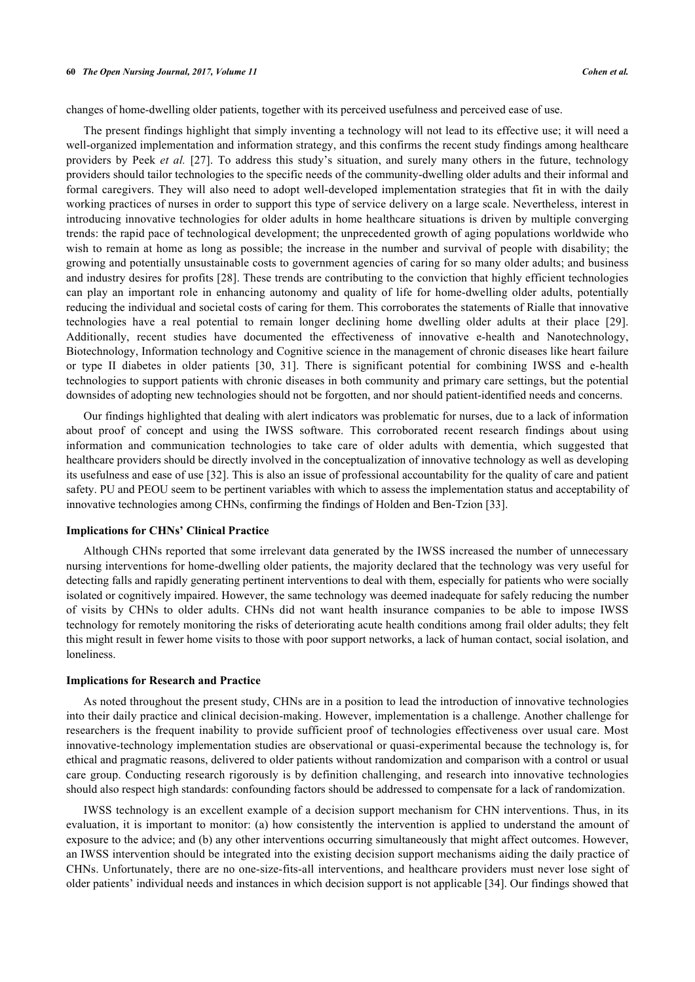changes of home-dwelling older patients, together with its perceived usefulness and perceived ease of use.

The present findings highlight that simply inventing a technology will not lead to its effective use; it will need a well-organized implementation and information strategy, and this confirms the recent study findings among healthcare providers by Peek *et al.* [\[27\]](#page-9-11). To address this study's situation, and surely many others in the future, technology providers should tailor technologies to the specific needs of the community-dwelling older adults and their informal and formal caregivers. They will also need to adopt well-developed implementation strategies that fit in with the daily working practices of nurses in order to support this type of service delivery on a large scale. Nevertheless, interest in introducing innovative technologies for older adults in home healthcare situations is driven by multiple converging trends: the rapid pace of technological development; the unprecedented growth of aging populations worldwide who wish to remain at home as long as possible; the increase in the number and survival of people with disability; the growing and potentially unsustainable costs to government agencies of caring for so many older adults; and business and industry desires for profits [\[28\]](#page-9-12). These trends are contributing to the conviction that highly efficient technologies can play an important role in enhancing autonomy and quality of life for home-dwelling older adults, potentially reducing the individual and societal costs of caring for them. This corroborates the statements of Rialle that innovative technologies have a real potential to remain longer declining home dwelling older adults at their place [\[29\]](#page-9-13). Additionally, recent studies have documented the effectiveness of innovative e-health and Nanotechnology, Biotechnology, Information technology and Cognitive science in the management of chronic diseases like heart failure or type II diabetes in older patients [\[30,](#page-9-14) [31](#page-9-15)]. There is significant potential for combining IWSS and e-health technologies to support patients with chronic diseases in both community and primary care settings, but the potential downsides of adopting new technologies should not be forgotten, and nor should patient-identified needs and concerns.

Our findings highlighted that dealing with alert indicators was problematic for nurses, due to a lack of information about proof of concept and using the IWSS software. This corroborated recent research findings about using information and communication technologies to take care of older adults with dementia, which suggested that healthcare providers should be directly involved in the conceptualization of innovative technology as well as developing its usefulness and ease of use [\[32](#page-9-16)]. This is also an issue of professional accountability for the quality of care and patient safety. PU and PEOU seem to be pertinent variables with which to assess the implementation status and acceptability of innovative technologies among CHNs, confirming the findings of Holden and Ben-Tzion [\[33](#page-9-17)].

#### **Implications for CHNs' Clinical Practice**

Although CHNs reported that some irrelevant data generated by the IWSS increased the number of unnecessary nursing interventions for home-dwelling older patients, the majority declared that the technology was very useful for detecting falls and rapidly generating pertinent interventions to deal with them, especially for patients who were socially isolated or cognitively impaired. However, the same technology was deemed inadequate for safely reducing the number of visits by CHNs to older adults. CHNs did not want health insurance companies to be able to impose IWSS technology for remotely monitoring the risks of deteriorating acute health conditions among frail older adults; they felt this might result in fewer home visits to those with poor support networks, a lack of human contact, social isolation, and loneliness.

#### **Implications for Research and Practice**

As noted throughout the present study, CHNs are in a position to lead the introduction of innovative technologies into their daily practice and clinical decision-making. However, implementation is a challenge. Another challenge for researchers is the frequent inability to provide sufficient proof of technologies effectiveness over usual care. Most innovative-technology implementation studies are observational or quasi-experimental because the technology is, for ethical and pragmatic reasons, delivered to older patients without randomization and comparison with a control or usual care group. Conducting research rigorously is by definition challenging, and research into innovative technologies should also respect high standards: confounding factors should be addressed to compensate for a lack of randomization.

IWSS technology is an excellent example of a decision support mechanism for CHN interventions. Thus, in its evaluation, it is important to monitor: (a) how consistently the intervention is applied to understand the amount of exposure to the advice; and (b) any other interventions occurring simultaneously that might affect outcomes. However, an IWSS intervention should be integrated into the existing decision support mechanisms aiding the daily practice of CHNs. Unfortunately, there are no one-size-fits-all interventions, and healthcare providers must never lose sight of older patients' individual needs and instances in which decision support is not applicable [[34\]](#page-9-18). Our findings showed that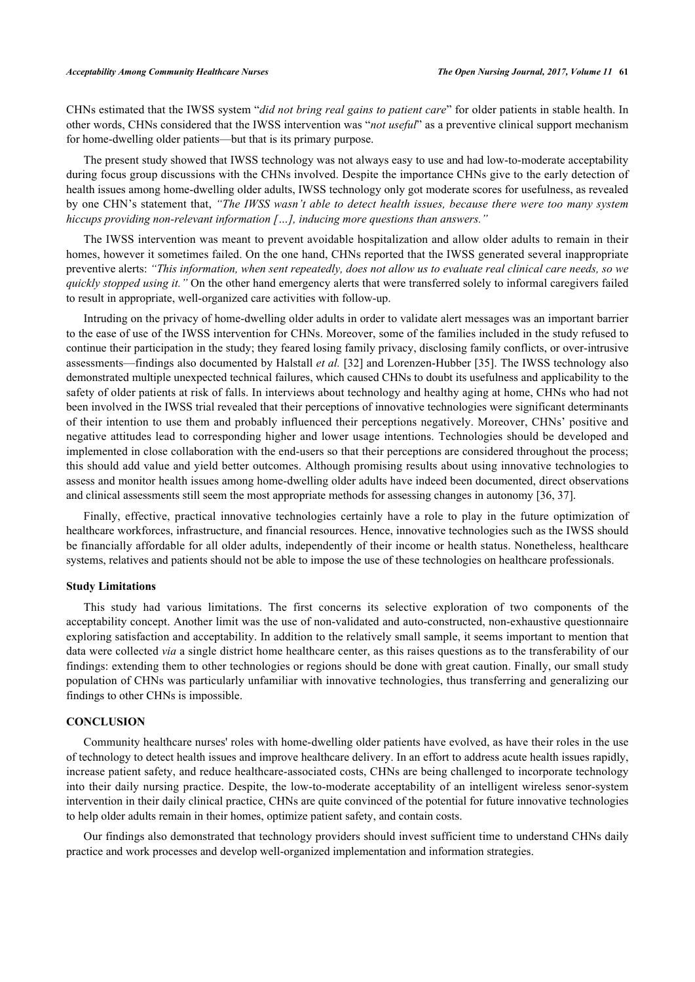CHNs estimated that the IWSS system "*did not bring real gains to patient care*" for older patients in stable health. In other words, CHNs considered that the IWSS intervention was "*not useful*" as a preventive clinical support mechanism for home-dwelling older patients—but that is its primary purpose.

The present study showed that IWSS technology was not always easy to use and had low-to-moderate acceptability during focus group discussions with the CHNs involved. Despite the importance CHNs give to the early detection of health issues among home-dwelling older adults, IWSS technology only got moderate scores for usefulness, as revealed by one CHN's statement that, *"The IWSS wasn't able to detect health issues, because there were too many system hiccups providing non-relevant information […], inducing more questions than answers."*

The IWSS intervention was meant to prevent avoidable hospitalization and allow older adults to remain in their homes, however it sometimes failed. On the one hand, CHNs reported that the IWSS generated several inappropriate preventive alerts: *"This information, when sent repeatedly, does not allow us to evaluate real clinical care needs, so we quickly stopped using it."* On the other hand emergency alerts that were transferred solely to informal caregivers failed to result in appropriate, well-organized care activities with follow-up.

Intruding on the privacy of home-dwelling older adults in order to validate alert messages was an important barrier to the ease of use of the IWSS intervention for CHNs. Moreover, some of the families included in the study refused to continue their participation in the study; they feared losing family privacy, disclosing family conflicts, or over-intrusive assessments—findings also documented by Halstall *et al.* [[32\]](#page-9-16) and Lorenzen-Hubber [[35](#page-9-19)]. The IWSS technology also demonstrated multiple unexpected technical failures, which caused CHNs to doubt its usefulness and applicability to the safety of older patients at risk of falls. In interviews about technology and healthy aging at home, CHNs who had not been involved in the IWSS trial revealed that their perceptions of innovative technologies were significant determinants of their intention to use them and probably influenced their perceptions negatively. Moreover, CHNs' positive and negative attitudes lead to corresponding higher and lower usage intentions. Technologies should be developed and implemented in close collaboration with the end-users so that their perceptions are considered throughout the process; this should add value and yield better outcomes. Although promising results about using innovative technologies to assess and monitor health issues among home-dwelling older adults have indeed been documented, direct observations and clinical assessments still seem the most appropriate methods for assessing changes in autonomy [[36,](#page-9-20) [37\]](#page-9-21).

Finally, effective, practical innovative technologies certainly have a role to play in the future optimization of healthcare workforces, infrastructure, and financial resources. Hence, innovative technologies such as the IWSS should be financially affordable for all older adults, independently of their income or health status. Nonetheless, healthcare systems, relatives and patients should not be able to impose the use of these technologies on healthcare professionals.

#### **Study Limitations**

This study had various limitations. The first concerns its selective exploration of two components of the acceptability concept. Another limit was the use of non-validated and auto-constructed, non-exhaustive questionnaire exploring satisfaction and acceptability. In addition to the relatively small sample, it seems important to mention that data were collected *via* a single district home healthcare center, as this raises questions as to the transferability of our findings: extending them to other technologies or regions should be done with great caution. Finally, our small study population of CHNs was particularly unfamiliar with innovative technologies, thus transferring and generalizing our findings to other CHNs is impossible.

# **CONCLUSION**

Community healthcare nurses' roles with home-dwelling older patients have evolved, as have their roles in the use of technology to detect health issues and improve healthcare delivery. In an effort to address acute health issues rapidly, increase patient safety, and reduce healthcare-associated costs, CHNs are being challenged to incorporate technology into their daily nursing practice. Despite, the low-to-moderate acceptability of an intelligent wireless senor-system intervention in their daily clinical practice, CHNs are quite convinced of the potential for future innovative technologies to help older adults remain in their homes, optimize patient safety, and contain costs.

Our findings also demonstrated that technology providers should invest sufficient time to understand CHNs daily practice and work processes and develop well-organized implementation and information strategies.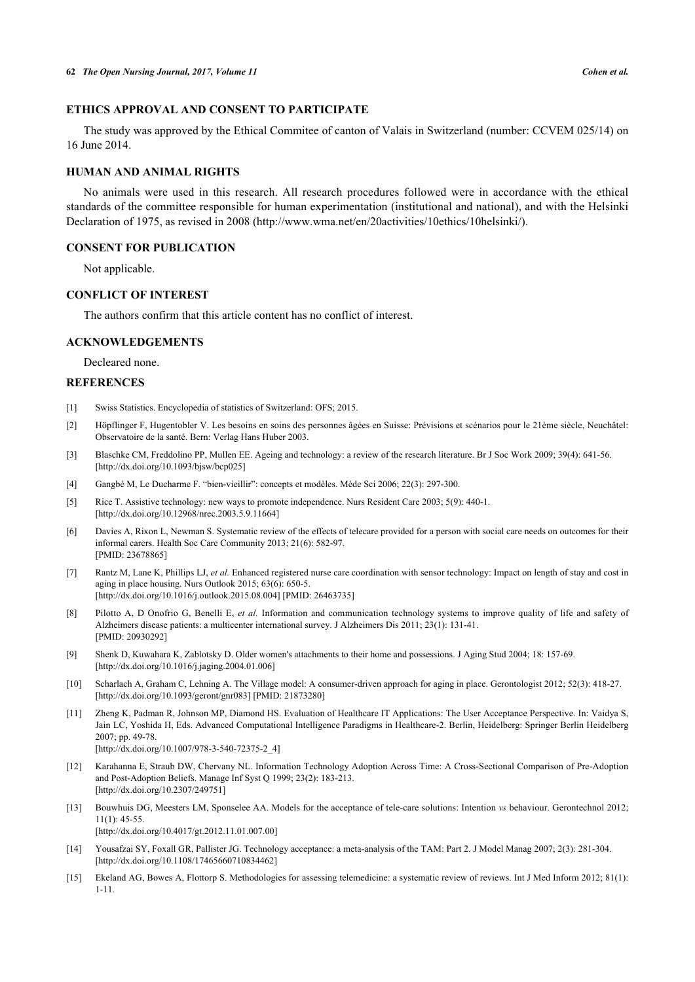# **ETHICS APPROVAL AND CONSENT TO PARTICIPATE**

The study was approved by the Ethical Commitee of canton of Valais in Switzerland (number: CCVEM 025/14) on 16 June 2014.

# **HUMAN AND ANIMAL RIGHTS**

No animals were used in this research. All research procedures followed were in accordance with the ethical standards of the committee responsible for human experimentation (institutional and national), and with the Helsinki Declaration of 1975, as revised in 2008 (http://www.wma.net/en/20activities/10ethics/10helsinki/).

#### **CONSENT FOR PUBLICATION**

Not applicable.

# **CONFLICT OF INTEREST**

The authors confirm that this article content has no conflict of interest.

#### **ACKNOWLEDGEMENTS**

Decleared none.

#### **REFERENCES**

- <span id="page-8-0"></span>[1] Swiss Statistics. Encyclopedia of statistics of Switzerland: OFS; 2015.
- <span id="page-8-1"></span>[2] Höpflinger F, Hugentobler V. Les besoins en soins des personnes âgées en Suisse: Prévisions et scénarios pour le 21ème siècle, Neuchâtel: Observatoire de la santé. Bern: Verlag Hans Huber 2003.
- <span id="page-8-2"></span>[3] Blaschke CM, Freddolino PP, Mullen EE. Ageing and technology: a review of the research literature. Br J Soc Work 2009; 39(4): 641-56. [\[http://dx.doi.org/10.1093/bjsw/bcp025\]](http://dx.doi.org/10.1093/bjsw/bcp025)
- <span id="page-8-3"></span>[4] Gangbé M, Le Ducharme F. "bien-vieillir": concepts et modèles. Méde Sci 2006; 22(3): 297-300.
- <span id="page-8-4"></span>[5] Rice T. Assistive technology: new ways to promote independence. Nurs Resident Care 2003; 5(9): 440-1. [\[http://dx.doi.org/10.12968/nrec.2003.5.9.11664\]](http://dx.doi.org/10.12968/nrec.2003.5.9.11664)
- <span id="page-8-5"></span>[6] Davies A, Rixon L, Newman S. Systematic review of the effects of telecare provided for a person with social care needs on outcomes for their informal carers. Health Soc Care Community 2013; 21(6): 582-97. [PMID: [23678865\]](http://www.ncbi.nlm.nih.gov/pubmed/23678865)
- <span id="page-8-6"></span>[7] Rantz M, Lane K, Phillips LJ, *et al.* Enhanced registered nurse care coordination with sensor technology: Impact on length of stay and cost in aging in place housing. Nurs Outlook 2015; 63(6): 650-5. [\[http://dx.doi.org/10.1016/j.outlook.2015.08.004](http://dx.doi.org/10.1016/j.outlook.2015.08.004)] [PMID: [26463735](http://www.ncbi.nlm.nih.gov/pubmed/26463735)]
- <span id="page-8-7"></span>[8] Pilotto A, D Onofrio G, Benelli E, *et al.* Information and communication technology systems to improve quality of life and safety of Alzheimers disease patients: a multicenter international survey. J Alzheimers Dis 2011; 23(1): 131-41. [PMID: [20930292\]](http://www.ncbi.nlm.nih.gov/pubmed/20930292)
- <span id="page-8-8"></span>[9] Shenk D, Kuwahara K, Zablotsky D. Older women's attachments to their home and possessions. J Aging Stud 2004; 18: 157-69. [\[http://dx.doi.org/10.1016/j.jaging.2004.01.006](http://dx.doi.org/10.1016/j.jaging.2004.01.006)]
- <span id="page-8-9"></span>[10] Scharlach A, Graham C, Lehning A. The Village model: A consumer-driven approach for aging in place. Gerontologist 2012; 52(3): 418-27. [\[http://dx.doi.org/10.1093/geront/gnr083](http://dx.doi.org/10.1093/geront/gnr083)] [PMID: [21873280\]](http://www.ncbi.nlm.nih.gov/pubmed/21873280)
- <span id="page-8-10"></span>[11] Zheng K, Padman R, Johnson MP, Diamond HS. Evaluation of Healthcare IT Applications: The User Acceptance Perspective. In: Vaidya S, Jain LC, Yoshida H, Eds. Advanced Computational Intelligence Paradigms in Healthcare-2. Berlin, Heidelberg: Springer Berlin Heidelberg 2007; pp. 49-78. [\[http://dx.doi.org/10.1007/978-3-540-72375-2\\_4](http://dx.doi.org/10.1007/978-3-540-72375-2_4)]
- <span id="page-8-11"></span>[12] Karahanna E, Straub DW, Chervany NL. Information Technology Adoption Across Time: A Cross-Sectional Comparison of Pre-Adoption and Post-Adoption Beliefs. Manage Inf Syst Q 1999; 23(2): 183-213. [\[http://dx.doi.org/10.2307/249751\]](http://dx.doi.org/10.2307/249751)
- <span id="page-8-12"></span>[13] Bouwhuis DG, Meesters LM, Sponselee AA. Models for the acceptance of tele-care solutions: Intention *vs* behaviour. Gerontechnol 2012; 11(1): 45-55. [\[http://dx.doi.org/10.4017/gt.2012.11.01.007.00](http://dx.doi.org/10.4017/gt.2012.11.01.007.00)]
- [14] Yousafzai SY, Foxall GR, Pallister JG. Technology acceptance: a meta-analysis of the TAM: Part 2. J Model Manag 2007; 2(3): 281-304. [\[http://dx.doi.org/10.1108/17465660710834462\]](http://dx.doi.org/10.1108/17465660710834462)
- <span id="page-8-13"></span>[15] Ekeland AG, Bowes A, Flottorp S. Methodologies for assessing telemedicine: a systematic review of reviews. Int J Med Inform 2012; 81(1): 1-11.